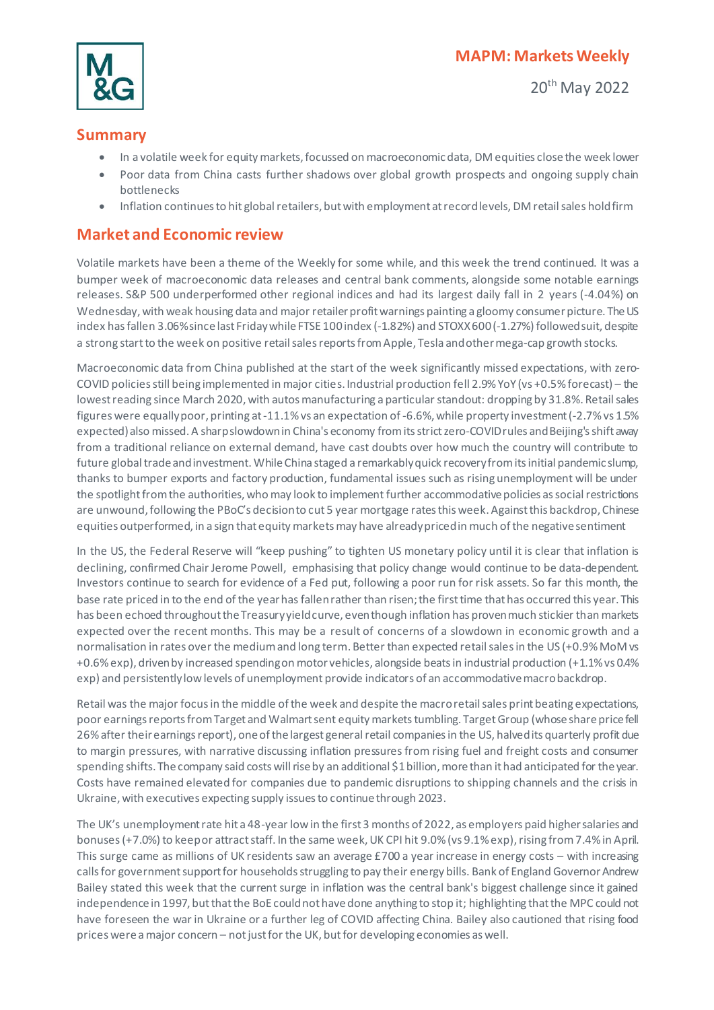

20th May 2022

## **Summary**

- In a volatile week for equity markets, focussed on macroeconomic data, DM equities close the week lower
- Poor data from China casts further shadows over global growth prospects and ongoing supply chain bottlenecks
- Inflation continues to hit global retailers, but with employment at record levels, DM retail sales hold firm

## **Market and Economic review**

Volatile markets have been a theme of the Weekly for some while, and this week the trend continued. It was a bumper week of macroeconomic data releases and central bank comments, alongside some notable earnings releases. S&P 500 underperformed other regional indices and had its largest daily fall in 2 years (-4.04%) on Wednesday, with weak housing data and major retailer profit warnings painting a gloomy consumer picture. The US index has fallen 3.06%since last Friday while FTSE 100 index (-1.82%) and STOXX 600 (-1.27%) followed suit, despite a strong start to the week on positive retail sales reports from Apple, Tesla and other mega-cap growth stocks.

Macroeconomic data from China published at the start of the week significantly missed expectations, with zero-COVID policies still being implemented in major cities. Industrial production fell 2.9% YoY (vs +0.5% forecast) – the lowest reading since March 2020, with autos manufacturing a particular standout: dropping by 31.8%. Retail sales figures were equallypoor, printing at -11.1% vs an expectation of -6.6%, while property investment (-2.7% vs 1.5% expected) also missed. A sharp slowdown in China's economy from its strict zero-COVID rules and Beijing's shift away from a traditional reliance on external demand, have cast doubts over how much the country will contribute to future global trade and investment. While China staged a remarkably quick recovery from its initial pandemic slump, thanks to bumper exports and factory production, fundamental issues such as rising unemployment will be under the spotlight from the authorities, who may look to implement further accommodative policies as social restrictions are unwound, following the PBoC's decision to cut 5 year mortgage rates this week. Againstthis backdrop, Chinese equities outperformed, in a sign that equity markets may have already priced in much of the negative sentiment

In the US, the Federal Reserve will "keep pushing" to tighten US monetary policy until it is clear that inflation is declining, confirmed Chair Jerome Powell, emphasising that policy change would continue to be data-dependent. Investors continue to search for evidence of a Fed put, following a poor run for risk assets. So far this month, the base rate priced in to the end of the year has fallen rather than risen; the first time that has occurred this year. This has been echoed throughout the Treasury yield curve, even though inflation has proven much stickier than markets expected over the recent months. This may be a result of concerns of a slowdown in economic growth and a normalisation in rates over the medium and long term. Better than expected retail sales in the US (+0.9% MoM vs +0.6% exp), driven by increased spending on motor vehicles, alongside beats in industrial production (+1.1% vs 0.4% exp) and persistentlylow levels of unemployment provide indicators of an accommodative macro backdrop.

Retail was the major focus in the middle of the week and despite the macro retail sales print beating expectations, poor earnings reports from Target and Walmart sent equity markets tumbling. TargetGroup (whose share price fell 26% after their earnings report), one of the largest general retail companies in the US, halved its quarterly profit due to margin pressures, with narrative discussing inflation pressures from rising fuel and freight costs and consumer spending shifts. The company said costs will rise by an additional \$1 billion, more than it had anticipated for the year. Costs have remained elevated for companies due to pandemic disruptions to shipping channels and the crisis in Ukraine, with executives expecting supply issues to continue through 2023.

The UK's unemployment rate hit a 48-year low in the first 3 months of 2022, as employers paid higher salaries and bonuses (+7.0%) to keep or attract staff. In the same week, UK CPI hit 9.0% (vs 9.1% exp), rising from 7.4% in April. This surge came as millions of UK residents saw an average £700 a year increase in energy costs – with increasing calls for government support for households struggling to pay their energy bills. Bank of England Governor Andrew Bailey stated this week that the current surge in inflation was the central bank's biggest challenge since it gained independence in 1997, but that the BoE could not have done anything to stop it; highlighting that the MPC could not have foreseen the war in Ukraine or a further leg of COVID affecting China. Bailey also cautioned that rising food prices were amajor concern – not just for the UK, but for developing economies as well.